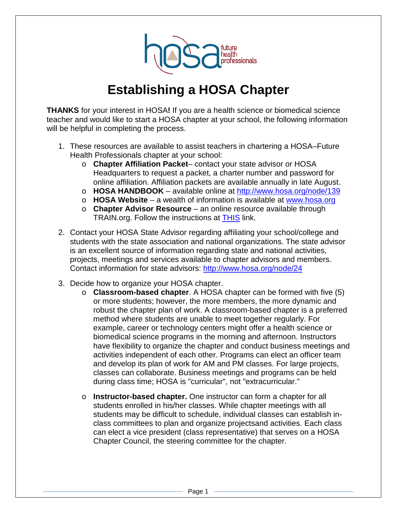

## **Establishing a HOSA Chapter**

**THANKS** for your interest in HOSA**!** If you are a health science or biomedical science teacher and would like to start a HOSA chapter at your school, the following information will be helpful in completing the process.

- 1. These resources are available to assist teachers in chartering a HOSA–Future Health Professionals chapter at your school:
	- o **Chapter Affiliation Packet** contact your state advisor or HOSA Headquarters to request a packet, a charter number and password for online affiliation. Affiliation packets are available annually in late August.
	- o **HOSA HANDBOOK**  available online at<http://www.hosa.org/node/139>
	- o **HOSA Website**  a wealth of information is available at [www.hosa.org](http://www.hosa.org/)
	- o **Chapter Advisor Resource**  an online resource available through TRAIN.org. Follow the instructions at [THIS](http://www.hosa.org/sites/default/files/HOSA%20Chapter%20Advisor%20Resource%20Access%20Instructions.pdf) link.
- 2. Contact your HOSA State Advisor regarding affiliating your school/college and students with the state association and national organizations. The state advisor is an excellent source of information regarding state and national activities, projects, meetings and services available to chapter advisors and members. Contact information for state advisors:<http://www.hosa.org/node/24>
- 3. Decide how to organize your HOSA chapter.
	- o **Classroom-based chapter**. A HOSA chapter can be formed with five (5) or more students; however, the more members, the more dynamic and robust the chapter plan of work. A classroom-based chapter is a preferred method where students are unable to meet together regularly. For example, career or technology centers might offer a health science or biomedical science programs in the morning and afternoon. Instructors have flexibility to organize the chapter and conduct business meetings and activities independent of each other. Programs can elect an officer team and develop its plan of work for AM and PM classes. For large projects, classes can collaborate. Business meetings and programs can be held during class time; HOSA is "curricular", not "extracurricular."
	- o **Instructor-based chapter.** One instructor can form a chapter for all students enrolled in his/her classes. While chapter meetings with all students may be difficult to schedule, individual classes can establish inclass committees to plan and organize projectsand activities. Each class can elect a vice president (class representative) that serves on a HOSA Chapter Council, the steering committee for the chapter.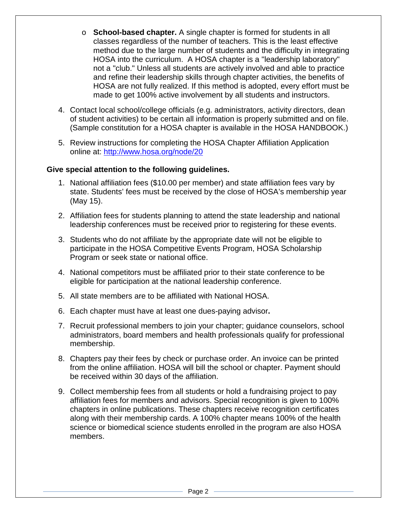- o **School-based chapter.** A single chapter is formed for students in all classes regardless of the number of teachers. This is the least effective method due to the large number of students and the difficulty in integrating HOSA into the curriculum. A HOSA chapter is a "leadership laboratory" not a "club." Unless all students are actively involved and able to practice and refine their leadership skills through chapter activities, the benefits of HOSA are not fully realized. If this method is adopted, every effort must be made to get 100% active involvement by all students and instructors.
- 4. Contact local school/college officials (e.g. administrators, activity directors, dean of student activities) to be certain all information is properly submitted and on file. (Sample constitution for a HOSA chapter is available in the HOSA HANDBOOK.)
- 5. Review instructions for completing the HOSA Chapter Affiliation Application online at:<http://www.hosa.org/node/20>

## **Give special attention to the following guidelines.**

- 1. National affiliation fees (\$10.00 per member) and state affiliation fees vary by state. Students' fees must be received by the close of HOSA's membership year (May 15).
- 2. Affiliation fees for students planning to attend the state leadership and national leadership conferences must be received prior to registering for these events.
- 3. Students who do not affiliate by the appropriate date will not be eligible to participate in the HOSA Competitive Events Program, HOSA Scholarship Program or seek state or national office.
- 4. National competitors must be affiliated prior to their state conference to be eligible for participation at the national leadership conference.
- 5. All state members are to be affiliated with National HOSA.
- 6. Each chapter must have at least one dues-paying advisor**.**
- 7. Recruit professional members to join your chapter; guidance counselors, school administrators, board members and health professionals qualify for professional membership.
- 8. Chapters pay their fees by check or purchase order. An invoice can be printed from the online affiliation. HOSA will bill the school or chapter. Payment should be received within 30 days of the affiliation.
- 9. Collect membership fees from all students or hold a fundraising project to pay affiliation fees for members and advisors. Special recognition is given to 100% chapters in online publications. These chapters receive recognition certificates along with their membership cards. A 100% chapter means 100% of the health science or biomedical science students enrolled in the program are also HOSA members.